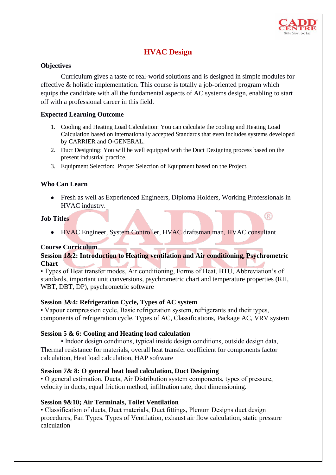

®

# **HVAC Design**

# **Objectives**

Curriculum gives a taste of real-world solutions and is designed in simple modules for effective & holistic implementation. This course is totally a job-oriented program which equips the candidate with all the fundamental aspects of AC systems design, enabling to start off with a professional career in this field.

# **Expected Learning Outcome**

- 1. Cooling and Heating Load Calculation: You can calculate the cooling and Heating Load Calculation based on internationally accepted Standards that even includes systems developed by CARRIER and O-GENERAL.
- 2. Duct Designing: You will be well equipped with the Duct Designing process based on the present industrial practice.
- 3. Equipment Selection: Proper Selection of Equipment based on the Project.

# **Who Can Learn**

• Fresh as well as Experienced Engineers, Diploma Holders, Working Professionals in HVAC industry.

#### **Job Titles**

• HVAC Engineer, System Controller, HVAC draftsman man, HVAC consultant

## **Course Curriculum**

# **Session 1&2: Introduction to Heating ventilation and Air conditioning, Psychrometric Chart**

• Types of Heat transfer modes, Air conditioning, Forms of Heat, BTU, Abbreviation's of standards, important unit conversions, psychrometric chart and temperature properties (RH, WBT, DBT, DP), psychrometric software

## **Session 3&4: Refrigeration Cycle, Types of AC system**

• Vapour compression cycle, Basic refrigeration system, refrigerants and their types, components of refrigeration cycle. Types of AC, Classifications, Package AC, VRV system

## **Session 5 & 6: Cooling and Heating load calculation**

• Indoor design conditions, typical inside design conditions, outside design data, Thermal resistance for materials, overall heat transfer coefficient for components factor calculation, Heat load calculation, HAP software

## **Session 7& 8: O general heat load calculation, Duct Designing**

• O general estimation, Ducts, Air Distribution system components, types of pressure, velocity in ducts, equal friction method, infiltration rate, duct dimensioning.

## **Session 9&10; Air Terminals, Toilet Ventilation**

• Classification of ducts, Duct materials, Duct fittings, Plenum Designs duct design procedures, Fan Types. Types of Ventilation, exhaust air flow calculation, static pressure calculation